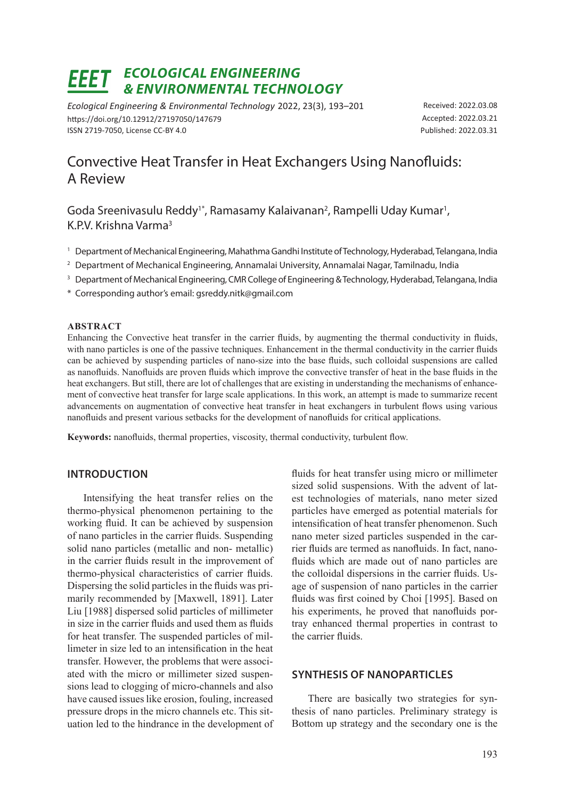# *ECOLOGICAL ENGINEERING & ENVIRONMENTAL TECHNOLOGY*

*Ecological Engineering & Environmental Technology* 2022, 23(3), 193–201 https://doi.org/10.12912/27197050/147679 ISSN 2719-7050, License CC-BY 4.0

Received: 2022.03.08 Accepted: 2022.03.21 Published: 2022.03.31

# Convective Heat Transfer in Heat Exchangers Using Nanofluids: A Review

Goda Sreenivasulu Reddy<sup>1\*</sup>, Ramasamy Kalaivanan<sup>2</sup>, Rampelli Uday Kumar<sup>1</sup>, K.P.V. Krishna Varma<sup>3</sup>

- <sup>1</sup> Department of Mechanical Engineering, Mahathma Gandhi Institute of Technology, Hyderabad, Telangana, India
- <sup>2</sup> Department of Mechanical Engineering, Annamalai University, Annamalai Nagar, Tamilnadu, India
- <sup>3</sup> Department of Mechanical Engineering, CMR College of Engineering & Technology, Hyderabad, Telangana, India
- \* Corresponding author's email: gsreddy.nitk@gmail.com

### **ABSTRACT**

Enhancing the Convective heat transfer in the carrier fluids, by augmenting the thermal conductivity in fluids, with nano particles is one of the passive techniques. Enhancement in the thermal conductivity in the carrier fluids can be achieved by suspending particles of nano-size into the base fluids, such colloidal suspensions are called as nanofluids. Nanofluids are proven fluids which improve the convective transfer of heat in the base fluids in the heat exchangers. But still, there are lot of challenges that are existing in understanding the mechanisms of enhancement of convective heat transfer for large scale applications. In this work, an attempt is made to summarize recent advancements on augmentation of convective heat transfer in heat exchangers in turbulent flows using various nanofluids and present various setbacks for the development of nanofluids for critical applications.

**Keywords:** nanofluids, thermal properties, viscosity, thermal conductivity, turbulent flow.

# **INTRODUCTION**

Intensifying the heat transfer relies on the thermo-physical phenomenon pertaining to the working fluid. It can be achieved by suspension of nano particles in the carrier fluids. Suspending solid nano particles (metallic and non- metallic) in the carrier fluids result in the improvement of thermo-physical characteristics of carrier fluids. Dispersing the solid particles in the fluids was primarily recommended by [Maxwell, 1891]. Later Liu [1988] dispersed solid particles of millimeter in size in the carrier fluids and used them as fluids for heat transfer. The suspended particles of millimeter in size led to an intensification in the heat transfer. However, the problems that were associated with the micro or millimeter sized suspensions lead to clogging of micro-channels and also have caused issues like erosion, fouling, increased pressure drops in the micro channels etc. This situation led to the hindrance in the development of fluids for heat transfer using micro or millimeter sized solid suspensions. With the advent of latest technologies of materials, nano meter sized particles have emerged as potential materials for intensification of heat transfer phenomenon. Such nano meter sized particles suspended in the carrier fluids are termed as nanofluids. In fact, nanofluids which are made out of nano particles are the colloidal dispersions in the carrier fluids. Usage of suspension of nano particles in the carrier fluids was first coined by Choi [1995]. Based on his experiments, he proved that nanofluids portray enhanced thermal properties in contrast to the carrier fluids.

# **SYNTHESIS OF NANOPARTICLES**

There are basically two strategies for synthesis of nano particles. Preliminary strategy is Bottom up strategy and the secondary one is the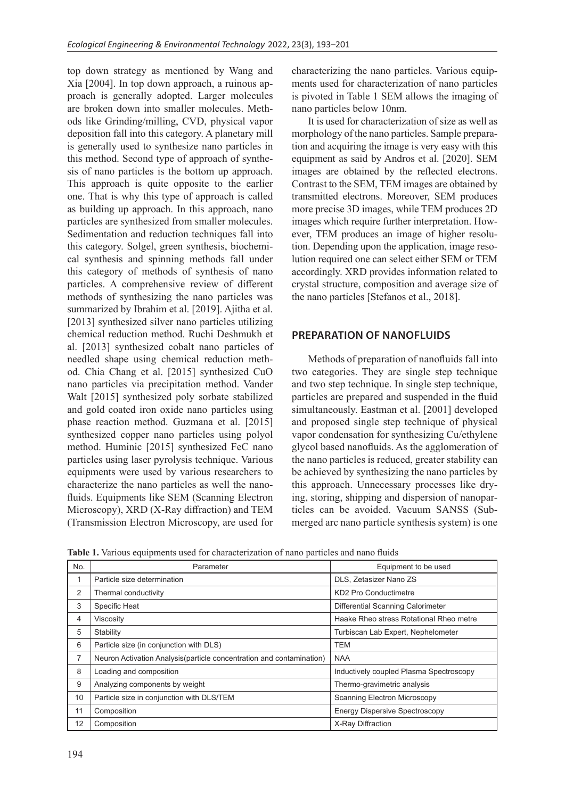top down strategy as mentioned by Wang and Xia [2004]. In top down approach, a ruinous approach is generally adopted. Larger molecules are broken down into smaller molecules. Methods like Grinding/milling, CVD, physical vapor deposition fall into this category. A planetary mill is generally used to synthesize nano particles in this method. Second type of approach of synthesis of nano particles is the bottom up approach. This approach is quite opposite to the earlier one. That is why this type of approach is called as building up approach. In this approach, nano particles are synthesized from smaller molecules. Sedimentation and reduction techniques fall into this category. Solgel, green synthesis, biochemical synthesis and spinning methods fall under this category of methods of synthesis of nano particles. A comprehensive review of different methods of synthesizing the nano particles was summarized by Ibrahim et al. [2019]. Ajitha et al. [2013] synthesized silver nano particles utilizing chemical reduction method. Ruchi Deshmukh et al. [2013] synthesized cobalt nano particles of needled shape using chemical reduction method. Chia Chang et al. [2015] synthesized CuO nano particles via precipitation method. Vander Walt [2015] synthesized poly sorbate stabilized and gold coated iron oxide nano particles using phase reaction method. Guzmana et al. [2015] synthesized copper nano particles using polyol method. Huminic [2015] synthesized FeC nano particles using laser pyrolysis technique. Various equipments were used by various researchers to characterize the nano particles as well the nanofluids. Equipments like SEM (Scanning Electron Microscopy), XRD (X-Ray diffraction) and TEM (Transmission Electron Microscopy, are used for

characterizing the nano particles. Various equipments used for characterization of nano particles is pivoted in Table 1 SEM allows the imaging of nano particles below 10nm.

It is used for characterization of size as well as morphology of the nano particles. Sample preparation and acquiring the image is very easy with this equipment as said by Andros et al. [2020]. SEM images are obtained by the reflected electrons. Contrast to the SEM, TEM images are obtained by transmitted electrons. Moreover, SEM produces more precise 3D images, while TEM produces 2D images which require further interpretation. However, TEM produces an image of higher resolution. Depending upon the application, image resolution required one can select either SEM or TEM accordingly. XRD provides information related to crystal structure, composition and average size of the nano particles [Stefanos et al., 2018].

# **PREPARATION OF NANOFLUIDS**

Methods of preparation of nanofluids fall into two categories. They are single step technique and two step technique. In single step technique, particles are prepared and suspended in the fluid simultaneously. Eastman et al. [2001] developed and proposed single step technique of physical vapor condensation for synthesizing Cu/ethylene glycol based nanofluids. As the agglomeration of the nano particles is reduced, greater stability can be achieved by synthesizing the nano particles by this approach. Unnecessary processes like drying, storing, shipping and dispersion of nanoparticles can be avoided. Vacuum SANSS (Submerged arc nano particle synthesis system) is one

**Table 1.** Various equipments used for characterization of nano particles and nano fluids

| No. | Parameter                                                             | Equipment to be used                    |
|-----|-----------------------------------------------------------------------|-----------------------------------------|
| 1   | Particle size determination                                           | DLS, Zetasizer Nano ZS                  |
| 2   | Thermal conductivity                                                  | KD2 Pro Conductimetre                   |
| 3   | Specific Heat                                                         | Differential Scanning Calorimeter       |
| 4   | Viscosity                                                             | Haake Rheo stress Rotational Rheo metre |
| 5   | Stability                                                             | Turbiscan Lab Expert, Nephelometer      |
| 6   | Particle size (in conjunction with DLS)                               | <b>TEM</b>                              |
| 7   | Neuron Activation Analysis (particle concentration and contamination) | <b>NAA</b>                              |
| 8   | Loading and composition                                               | Inductively coupled Plasma Spectroscopy |
| 9   | Analyzing components by weight                                        | Thermo-gravimetric analysis             |
| 10  | Particle size in conjunction with DLS/TEM                             | <b>Scanning Electron Microscopy</b>     |
| 11  | Composition                                                           | <b>Energy Dispersive Spectroscopy</b>   |
| 12  | Composition                                                           | X-Ray Diffraction                       |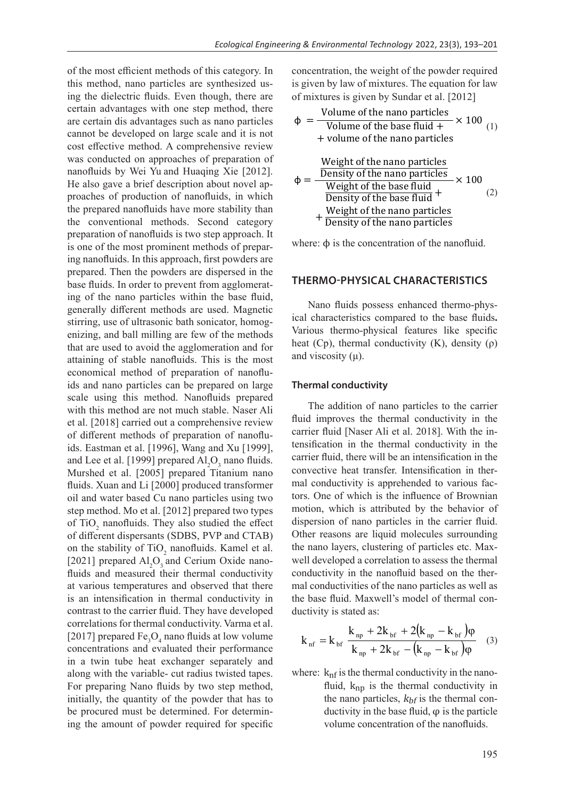of the most efficient methods of this category. In this method, nano particles are synthesized using the dielectric fluids. Even though, there are certain advantages with one step method, there are certain dis advantages such as nano particles cannot be developed on large scale and it is not cost effective method. A comprehensive review was conducted on approaches of preparation of nanofluids by Wei Yu and Huaqing Xie [2012]. He also gave a brief description about novel approaches of production of nanofluids, in which the prepared nanofluids have more stability than the conventional methods. Second category preparation of nanofluids is two step approach. It is one of the most prominent methods of preparing nanofluids. In this approach, first powders are prepared. Then the powders are dispersed in the base fluids. In order to prevent from agglomerating of the nano particles within the base fluid, generally different methods are used. Magnetic stirring, use of ultrasonic bath sonicator, homogenizing, and ball milling are few of the methods that are used to avoid the agglomeration and for attaining of stable nanofluids. This is the most economical method of preparation of nanofluids and nano particles can be prepared on large scale using this method. Nanofluids prepared with this method are not much stable. Naser Ali et al. [2018] carried out a comprehensive review of different methods of preparation of nanofluids. Eastman et al. [1996], Wang and Xu [1999], and Lee et al. [1999] prepared  $\text{Al}_2\text{O}_3$  nano fluids. Murshed et al. [2005] prepared Titanium nano fluids. Xuan and Li [2000] produced transformer oil and water based Cu nano particles using two step method. Mo et al. [2012] prepared two types of TiO<sub>2</sub> nanofluids. They also studied the effect of different dispersants (SDBS, PVP and CTAB) on the stability of  $TiO<sub>2</sub>$  nanofluids. Kamel et al. [2021] prepared  $\text{Al}_2\text{O}_3$  and Cerium Oxide nanofluids and measured their thermal conductivity at various temperatures and observed that there is an intensification in thermal conductivity in contrast to the carrier fluid. They have developed correlations for thermal conductivity. Varma et al. [2017] prepared  $Fe<sub>3</sub>O<sub>4</sub>$  nano fluids at low volume concentrations and evaluated their performance in a twin tube heat exchanger separately and along with the variable- cut radius twisted tapes. For preparing Nano fluids by two step method, initially, the quantity of the powder that has to be procured must be determined. For determining the amount of powder required for specific

concentration, the weight of the powder required is given by law of mixtures. The equation for law of mixtures is given by Sundar et al.  $[2012]$ 

$$
\Phi = \frac{\text{Volume of the nano particles}}{\text{Volume of the base fluid} + \text{volume of the nano particles}}
$$
\n(1)

$$
\Phi = \frac{\frac{\text{Weight of the nano particles}}{\text{Density of the nano particles}}}{\frac{\text{Weight of the base fluid}}{\text{Density of the base fluid}} + \frac{\text{Weight of the nano particles}}{\text{Density of the nano particles}}}
$$
(2)

where:  $\phi$  is the concentration of the nanofluid.

# HERMO-PHYSICAL CHARACTERISTI<br>--<br>HERMO-PHYSICAL CHARACTERISTI <sup>+</sup> <sup>+</sup> <sup>−</sup> <sup>=</sup> **THERMO-PHYSICAL CHARACTERISTICS**

Nano fluids possess enhanced thermo-physheat (Cp), thermal conductivity (K), density ( $\rho$ ) and viscosity ( $\mu$ ).  $\mathcal{L}(\mathbf{x})$  $\sin(u)$ + − + − Various thermo-physical features like specific<br>heat  $(C<sub>n</sub>)$ , thermal conductivity  $(K)$ , density  $(o)$ and viscosity  $(\mu)$ . ical characteristics compared to the base fluids**.** 

### **Thermal conductivity**

earrier huid [Naser All et al. 2018]. With the m-<br>tensification in the thermal conductivity in the<br>carrier fluid there will be an intensification in the ensification in the thermal conductivity in the<br>carrier fluid, there will be an intensification in the fluid [Naser Ali et al. 2018]. With the Other reasons are liquid molecules surrounding well developed a correlation to assess the thermal<br>conductivity in the nanofluid based on the therwell developed a correlation to assess the thermal well developed a correlation to assess the thermal wers, clustering of particles etc. May dispersion of nano particles in the carrier fluid tors. One of which is the influence of Brownian<br>motion, which is attributed by the behavior of ductivity is stated as: fluid improves the thermal conductivity in the carrier fluid Naser Ali et al. 20181 With the in- $\mathbf{f}$ fluid [Naser Ali et al. 2018]. With fluid improves the thermal conductivity in the carrier fluid [Naser Ali et al. 2018]. With the in-Other reasons are liquid molecules surrounding<br>the nano layers, clustering of particles etc. Maxdispersion of nano particles in the carrier fluid. har conductivity is apprenented to various ractors. One of which is the influence of Brownian the base fluid. Maxwell's model of thermal con-The addition of nano particles to the carrier eartier huid, there will be an intensification in the<br>convective heat transfer. Intensification in therexpressive heat transfer. Intensification in the mal conductivity is apprehended to various faceonductivity in the nanofidid based on the their-<br>mal conductivities of the nano particles as well as

$$
k_{\text{nf}} = k_{\text{bf}} \frac{k_{\text{np}} + 2k_{\text{bf}} + 2(k_{\text{np}} - k_{\text{bf}})\varphi}{k_{\text{np}} + 2k_{\text{bf}} - (k_{\text{np}} - k_{\text{bf}})\varphi} \quad (3)
$$

fluid,  $k_{np}$  is the thermal conductivity in ductivity in the base fluid,  $\varphi$  is the particle where:  $k<sub>nf</sub>$  is the thermal conductivity in the nanothe nano particles,  $k_{bf}$  is the thermal con-<br>ductivity in the base fluid (0 is the particle volume concentration of the nanofluids.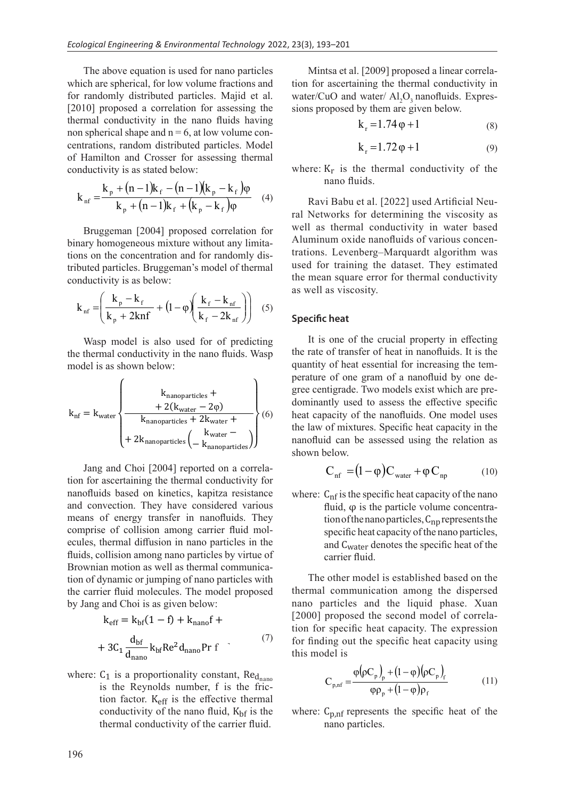The above equation is used for nano particles I he above equation is used for hand particles which are spherical, for low volume fractions and for randomly distributed particles. Majid et al. [2010] proposed a correlation for assessing the thermal conductivity in the nano fluids having<br>non spherical shape and  $n = 6$ , at low volume conthermal conductivity in the nano fluids having<br>non spherical shape and  $n = 6$ , at low volume connon spherical shape and h = 0, at low volume och<br>centrations, random distributed particles. Model<br>of Hamilton and Crosser for assessing thermal of Hamilton and Crosser for assessing thermal<br>conductivity is as stated below: conductivity is as stated below:  $\mu$  m and particles have non-<br>non spherical shape and  $n = 6$ , at low volume contrations, and one distributed nortials.  $\mathbb{R}^2$  $\mathcal{L}$  spiritual, for fow volume tuons, random distributed partie

Density of the nano particles

$$
k_{nf} = \frac{k_p + (n-1)k_f - (n-1)(k_p - k_f)\varphi}{k_p + (n-1)k_f + (k_p - k_f)\varphi}
$$
 (4)

 $\mathcal{L}$  ) tributed particles. Bruggeman's model of thermal<br>conductivity is as below:  $\frac{1}{k}$  +  $\frac{1}{k}$  +  $\frac{1}{k}$  +  $\frac{1}{k}$  +  $\frac{1}{k}$ j.  $\overline{a}$ conductivity is as below: Bruggeman [2004] proposed correlation for binary homogeneous mixture without any limitations on the concentration and for randomly distions on the concentration and for randomly disende<br>Bruggeman [2004] proposed co

$$
k_{\rm nf} = \left(\frac{k_{\rm p} - k_{\rm f}}{k_{\rm p} + 2 \text{knf}} + \left(1 - \varphi\right) \left(\frac{k_{\rm f} - k_{\rm nf}}{k_{\rm f} - 2k_{\rm nf}}\right)\right) (5)
$$

 $k$  m and hands.<br>  $\therefore$  model is as shown below: wasp model is also used for or predicting<br>the thermal conductivity in the nano fluids. Wasp<br>model is as shown below: Wasp model is also used for of predicting  $\frac{1}{2}$  Wasp model is also used for of pr  $\frac{1}{2}$  and  $\frac{1}{2}$  and  $\frac{1}{2}$  and  $\frac{1}{2}$  are  $\frac{1}{2}$  and  $\frac{1}{2}$  are  $\frac{1}{2}$  are  $\frac{1}{2}$  and  $\frac{1}{2}$  are  $\frac{1}{2}$  are  $\frac{1}{2}$  are  $\frac{1}{2}$  are  $\frac{1}{2}$  are  $\frac{1}{2}$  are  $\frac{1}{2}$  are  $\frac{1}{2}$  a

$$
k_{nf} = k_{water} \left\{ \begin{array}{c} k_{nanoparticles} + \\ + 2(k_{water} - 2\varphi) \\ k_{nanoparticles} + 2k_{water} + \\ + 2k_{nanoparticles} \left( \begin{array}{c} k_{water} - \\ - k_{nanoparticles} \end{array} \right) \end{array} \right\} (6)
$$

 $\frac{1}{2004}$  reported on a correlation for ascertaining the thermal conductivity for Jang and Choi [2004] reported on a correlacomprise of collision among carrier fluid molfluids, collision among nano particles by virtue of In the carrier multimeter that increases. The model<br>by Jang and Choi is as given below: and convection. They have considered various<br>means of energy transfer in panefluids. They hon tot ascertaining the thermal conductivity for nanofluids based on kinetics, kapitza resistance Howman motion as wen as thermal communication of dynamic or jumping of nano particles with means of energy transfer in nanofluids. They comprise of collision among corrier fluid mol ecules, thermal diffusion in nano particles in the Brownian motion as well as thermal communication of dynamic or iumning of nano particles with the carrier fluid molecules. The model proposed  $\frac{1}{2004}$  +  $\frac{1}{2004}$   $\frac{1}{2004}$  reported on a c

$$
k_{\text{eff}} = k_{\text{bf}}(1 - f) + k_{\text{nano}}f +
$$

$$
+ 3C_1 \frac{d_{\text{bf}}}{d_{\text{nano}}} k_{\text{bf}} Re^2 d_{\text{nano}} Pr f \qquad (7)
$$

tion factor. K<sub>eff</sub> is the effective thermal thermal conductivity of the carrier fluid. where:  $C_1$  is a proportionality constant,  $Re<sub>d<sub>nano</sub></sub>$ is the Reynolds number, f is the fricconductivity of the nano fluid,  $K<sub>bf</sub>$  is the

Mintsa et al.  $[2009]$  proposed a linear correla-<br>for accontaining the thermal conductivity in wintsa et al.  $[2009]$  proposed a finear correlation for ascertaining the thermal conductivity in water/CuO and water/ $\text{Al}_2\text{O}_3$  nanofluids. Expressions proposed by them are given below. Mintsa et al. [2009] proposed a linear co Mintsa et al. [2009] proposed a lir

$$
k_r = 1.74 \varphi + 1 \tag{8}
$$

$$
k_r = 1.72 \varphi + 1 \tag{9}
$$

where:  $K_r$  is the thermal conductivity of the nano fluids.  $K_r$  is the thermal conductivity of  $k_r = 1./2 \varphi + 1$ <br>ere:  $K_r$  is the thermal conductivity

Ravi Babu et al. [2022] used Artificial Neural Networks for determining the viscosity as real Networks for determining the viscosity as<br>well as thermal conductivity in water based<br>Aluminum avide negotiate of various expect Aluminum oxide nanofluids of various concentrations. Levenberg–Marquardt algorithm was used for training the dataset. They estimated used for training the dataset. They estimated<br>the mean square error for thermal conductivity as well as viscosity. evenberg-Marquardt algorithm wa

#### **Specific heat**   $heat$

It is one of the crucial property in effecting the rate of transfer of heat in nanofluids. It is the quantity of heat essential for increasing the temperature of one gram of a nanofluid by one degree centigrade. Two models exist which are pre- $\frac{1}{x}$  dominantly used to assess the effective specific heat capacity of the nanofluids. One model uses the law of mixtures. Specific heat capacity in the nanofluid can be assessed using the relation as shown below.

$$
C_{\rm nf} = (1 - \varphi) C_{\rm water} + \varphi C_{\rm np} \tag{10}
$$

where:  $C_{\text{nf}}$  is the specific heat capacity of the nano fluid,  $φ$  is the particle volume concentration of the nano particles,  $C_{np}$  represents the specific heat capacity of the nano particles, and Cwater denotes the specific heat of the carrier fluid.

The other model is established based on the thermal communication among the dispersed nano particles and the liquid phase. Xuan [2000] proposed the second model of correlation for specific heat capacity. The expression for finding out the specific heat capacity using this model is

$$
C_{p,nf} = \frac{\varphi(\rho C_p)_p + (1 - \varphi)(\rho C_p)_f}{\varphi \rho_p + (1 - \varphi)\rho_f}
$$
(11)

where:  $C_{p,nf}$  represents the specific heat of the nano particles.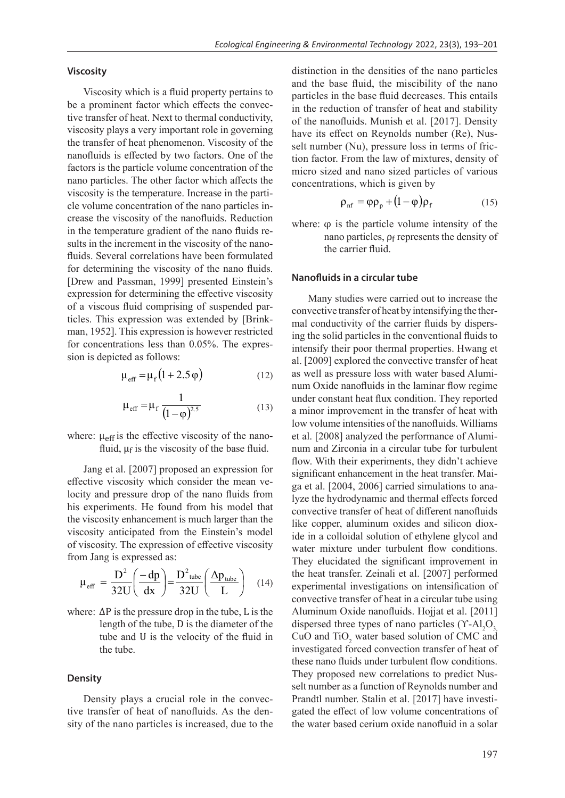### **Viscosity**

Viscosity which is a fluid property pertains to be a prominent factor which effects the convective transfer of heat. Next to thermal conductivity, viscosity plays a very important role in governing the transfer of heat phenomenon. Viscosity of the nanofluids is effected by two factors. One of the factors is the particle volume concentration of the nano particles. The other factor which affects the viscosity is the temperature. Increase in the particle volume concentration of the nano particles increase the viscosity of the nanofluids. Reduction in the temperature gradient of the nano fluids results in the increment in the viscosity of the nanofluids. Several correlations have been formulated for determining the viscosity of the nano fluids. [Drew and Passman, 1999] presented Einstein's  $[Deve and Tassman, T339]$  presenced Emstein's expression for determining the effective viscosity of a viscous fluid comprising of suspended paror a viscous nuid comprising or suspended par-<br>ticles. This expression was extended by [Brink- $\frac{1}{2}$  man, 1952]. This expression is however restricted for concentrations less than 0.05%. The expresfor concentrations ress than 6.6.<br>sion is depicted as follows:  $\begin{bmatrix} 1 & 0 & 0 \\ 0 & 0 & 0 \\ 0 & 0 & 0 \end{bmatrix}$  assumed,  $\begin{bmatrix} 1 & 0 & 0 \\ 0 & 1 & 0 \\ 0 & 0 & 0 \end{bmatrix}$ 

$$
\mu_{\text{eff}} = \mu_{\text{f}} \left( 1 + 2.5 \varphi \right) \tag{12}
$$

$$
\mu_{\rm eff} = \mu_{\rm f} \frac{1}{(1 - \varphi)^{2.5}}
$$
 (13)

where:  $\mu$ <sub>eff</sub> is the effective viscosity of the nanofluid,  $\mu_f$  is the viscosity of the base fluid.

effective viscosity which consider the mean ve-<br>locity and pressure drop of the nano fluids from<br>his experiments. He found from his model that his experiments. He found from his model that effective viscosity which consider the mean veof viscosity. The expression of effective viscosity Jang et al. [2007] proposed an expression for<br>ective viscosity which consider the mean vethe viscosity enhancement is much larger than the viscosity anticipated from the Einstein's model the viscosity enhancement is much larger than the viscosity anticipated from the Einstein's model from Jang is expressed as:

$$
\mu_{\text{eff}} = \frac{D^2}{32U} \left( \frac{-dp}{dx} \right) = \frac{D^2_{\text{tube}}}{32U} \left( \frac{\Delta p_{\text{tube}}}{L} \right) \quad (14)
$$

tube and U is the velocity of the fluid in where:  $\Delta P$  is the pressure drop in the tube, L is the length of the tube, D is the diameter of the the tube.

### **Density**

Density plays a crucial role in the convective transfer of heat of nanofluids. As the density of the nano particles is increased, due to the distinction in the densities of the nano particles and the base fluid, the miscibility of the nano<br>particles in the base fluid decreases. This entails and the base fluid, the filistromy of the hand<br>particles in the base fluid decreases. This entails in the reduction of transfer of heat and stability of the nanofluids. Munish et al. [2017]. Density have its effect on Reynolds number (Re), Nusract is effect on Reynolds humber (Re), Nus-<br>selt number (Nu), pressure loss in terms of fric-<br>tion factor. From the law of mixtures, density of tion factor. From the law of mixtures, density of micro sized and nano sized particles of various concentrations, which is given by

$$
\rho_{\rm nf} = \varphi \rho_{\rm p} + (1 - \varphi) \rho_{\rm f} \tag{15}
$$

where:  $\varphi$  is the particle volume intensity of the nano particles,  $\rho_f$  represents the density of the carrier fluid.

### **Nanofluids in a circular tube**

Many studies were carried out to increase the convective transfer of heat by intensifying the thermal conductivity of the carrier fluids by dispersing the solid particles in the conventional fluids to intensify their poor thermal properties. Hwang et al. [2009] explored the convective transfer of heat as well as pressure loss with water based Aluminum Oxide nanofluids in the laminar flow regime under constant heat flux condition. They reported a minor improvement in the transfer of heat with low volume intensities of the nanofluids. Williams et al. [2008] analyzed the performance of Aluminum and Zirconia in a circular tube for turbulent flow. With their experiments, they didn't achieve significant enhancement in the heat transfer. Maiga et al. [2004, 2006] carried simulations to analyze the hydrodynamic and thermal effects forced convective transfer of heat of different nanofluids like copper, aluminum oxides and silicon dioxide in a colloidal solution of ethylene glycol and water mixture under turbulent flow conditions. They elucidated the significant improvement in the heat transfer. Zeinali et al. [2007] performed experimental investigations on intensification of convective transfer of heat in a circular tube using Aluminum Oxide nanofluids. Hojjat et al. [2011] dispersed three types of nano particles  $(\Upsilon$ -Al<sub>2</sub>O<sub>3,</sub> CuO and  $TiO<sub>2</sub>$  water based solution of CMC and investigated forced convection transfer of heat of these nano fluids under turbulent flow conditions. They proposed new correlations to predict Nusselt number as a function of Reynolds number and Prandtl number. Stalin et al. [2017] have investigated the effect of low volume concentrations of the water based cerium oxide nanofluid in a solar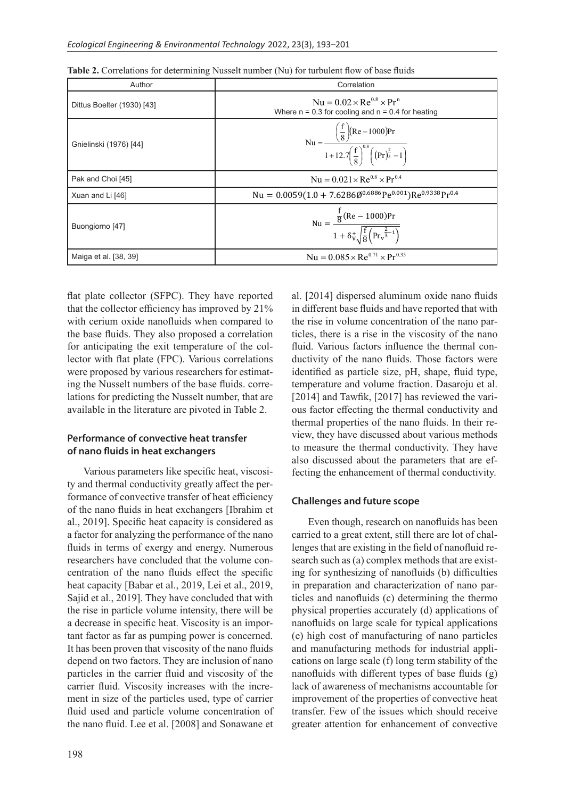| Author                     | Correlation                                                                                                              |
|----------------------------|--------------------------------------------------------------------------------------------------------------------------|
| Dittus Boelter (1930) [43] | $Nu = 0.02 \times Re^{0.8} \times Pr^{n}$<br>Where $n = 0.3$ for cooling and $n = 0.4$ for heating                       |
| Gnielinski (1976) [44]     | Nu = $\frac{\left(\frac{f}{8}\right)(Re-1000)Pr}{1+12.7\left(\frac{f}{8}\right)^{0.8}\left((Pr)^{\frac{2}{3}}-1\right)}$ |
| Pak and Choi [45]          | $Nu = 0.021 \times Re^{0.8} \times Pr^{0.4}$                                                                             |
| Xuan and Li [46]           | Nu = $0.0059(1.0 + 7.6286\emptyset^{0.6886}Pe^{0.001})Re^{0.9338}Pr^{0.4}$                                               |
| Buongiorno [47]            | Nu = $\frac{\frac{f}{8}(\text{Re} - 1000)\text{Pr}}{1 + \delta_v^+ \sqrt{\frac{f}{8}(\text{Pr}_v^{\frac{2}{3}-1})}}$     |
| Maiga et al. [38, 39]      | Nu = $0.085 \times \text{Re}^{0.71} \times \text{Pr}^{0.35}$                                                             |
|                            |                                                                                                                          |

Re 1000 Pr

1 + δV<br>1 + δV + δV + δV

8 **b**<br>8 **b**<br>8 **b** 

�

|                | Table 2. Correlations for determining Nusselt number (Nu) for turbulent flow of base fluids |  |  |
|----------------|---------------------------------------------------------------------------------------------|--|--|
|                |                                                                                             |  |  |
| $\Delta$ uthor | Correlation                                                                                 |  |  |

flat plate collector (SFPC). They have reported that the collector efficiency has improved by 21% with cerium oxide nanofluids when compared to the base fluids. They also proposed a correlation for anticipating the exit temperature of the collector with flat plate (FPC). Various correlations were proposed by various researchers for estimating the Nusselt numbers of the base fluids. correlations for predicting the Nusselt number, that are available in the literature are pivoted in Table 2.

### **Performance of convective heat transfer of nano fluids in heat exchangers**

Various parameters like specific heat, viscosity and thermal conductivity greatly affect the performance of convective transfer of heat efficiency of the nano fluids in heat exchangers [Ibrahim et al., 2019]. Specific heat capacity is considered as a factor for analyzing the performance of the nano fluids in terms of exergy and energy. Numerous researchers have concluded that the volume concentration of the nano fluids effect the specific heat capacity [Babar et al., 2019, Lei et al., 2019, Sajid et al., 2019]. They have concluded that with the rise in particle volume intensity, there will be a decrease in specific heat. Viscosity is an important factor as far as pumping power is concerned. It has been proven that viscosity of the nano fluids depend on two factors. They are inclusion of nano particles in the carrier fluid and viscosity of the carrier fluid. Viscosity increases with the increment in size of the particles used, type of carrier fluid used and particle volume concentration of the nano fluid. Lee et al. [2008] and Sonawane et

al. [2014] dispersed aluminum oxide nano fluids an [2011] appended that minimum order hand have reported that with the rise in volume concentration of the nano particles, there is a rise in the viscosity of the nano fluid. Various factors influence the thermal conductivity of the nano fluids. Those factors were identified as particle size, pH, shape, fluid type, temperature and volume fraction. Dasaroju et al. [2014] and Tawfik, [2017] has reviewed the various factor effecting the thermal conductivity and thermal properties of the nano fluids. In their review, they have discussed about various methods to measure the thermal conductivity. They have also discussed about the parameters that are effecting the enhancement of thermal conductivity.

### **Challenges and future scope**

Even though, research on nanofluids has been carried to a great extent, still there are lot of challenges that are existing in the field of nanofluid research such as (a) complex methods that are existing for synthesizing of nanofluids (b) difficulties in preparation and characterization of nano particles and nanofluids (c) determining the thermo physical properties accurately (d) applications of nanofluids on large scale for typical applications (e) high cost of manufacturing of nano particles and manufacturing methods for industrial applications on large scale (f) long term stability of the nanofluids with different types of base fluids (g) lack of awareness of mechanisms accountable for improvement of the properties of convective heat transfer. Few of the issues which should receive greater attention for enhancement of convective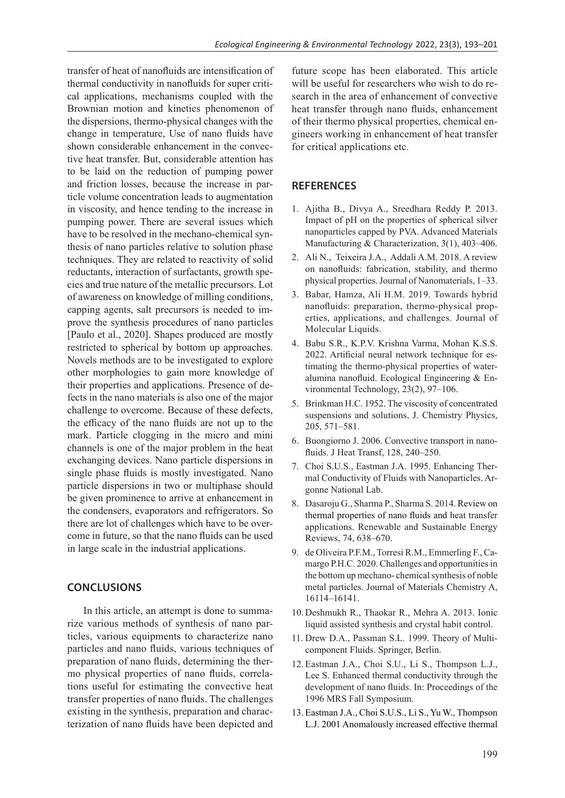transfer of heat of nanofluids are intensification of thermal conductivity in nanofluids for super critical applications, mechanisms coupled with the Brownian motion and kinetics phenomenon of the dispersions, thermo-physical changes with the change in temperature, Use of nano fluids have shown considerable enhancement in the convective heat transfer. But, considerable attention has to be laid on the reduction of pumping power and friction losses, because the increase in particle volume concentration leads to augmentation in viscosity, and hence tending to the increase in pumping power. There are several issues which have to be resolved in the mechano-chemical synthesis of nano particles relative to solution phase techniques. They are related to reactivity of solid reductants, interaction of surfactants, growth species and true nature of the metallic precursors. Lot of awareness on knowledge of milling conditions, capping agents, salt precursors is needed to improve the synthesis procedures of nano particles [Paulo et al., 2020]. Shapes produced are mostly restricted to spherical by bottom up approaches. Novels methods are to be investigated to explore other morphologies to gain more knowledge of their properties and applications. Presence of defects in the nano materials is also one of the major challenge to overcome. Because of these defects, the efficacy of the nano fluids are not up to the mark. Particle clogging in the micro and mini channels is one of the major problem in the heat exchanging devices. Nano particle dispersions in single phase fluids is mostly investigated. Nano particle dispersions in two or multiphase should be given prominence to arrive at enhancement in the condensers, evaporators and refrigerators. So there are lot of challenges which have to be overcome in future, so that the nano fluids can be used in large scale in the industrial applications.

# **CONCLUSIONS**

In this article, an attempt is done to summarize various methods of synthesis of nano particles, various equipments to characterize nano particles and nano fluids, various techniques of preparation of nano fluids, determining the thermo physical properties of nano fluids, correlations useful for estimating the convective heat transfer properties of nano fluids. The challenges existing in the synthesis, preparation and characterization of nano fluids have been depicted and

future scope has been elaborated. This article will be useful for researchers who wish to do research in the area of enhancement of convective heat transfer through nano fluids, enhancement of their thermo physical properties, chemical engineers working in enhancement of heat transfer for critical applications etc.

## **REFERENCES**

- 1. Ajitha B., Divya A., Sreedhara Reddy P. 2013. Impact of pH on the properties of spherical silver nanoparticles capped by PVA. Advanced Materials Manufacturing & Characterization, 3(1), 403–406.
- 2. Ali N., Teixeira J.A., Addali A.M. 2018. A review on nanofluids: fabrication, stability, and thermo physical properties. Journal of Nanomaterials, 1–33.
- 3. Babar, Hamza, Ali H.M. 2019. Towards hybrid nanofluids: preparation, thermo-physical properties, applications, and challenges. Journal of Molecular Liquids.
- 4. Babu S.R., K.P.V. Krishna Varma, Mohan K.S.S. 2022. Artificial neural network technique for estimating the thermo-physical properties of wateralumina nanofluid. Ecological Engineering & Environmental Technology, 23(2), 97–106.
- 5. Brinkman H.C. 1952. The viscosity of concentrated suspensions and solutions, J. Chemistry Physics, 205, 571–581.
- 6. Buongiorno J. 2006. Convective transport in nanofluids. J Heat Transf, 128, 240–250.
- 7. Choi S.U.S., Eastman J.A. 1995. Enhancing Thermal Conductivity of Fluids with Nanoparticles. Argonne National Lab.
- 8. Dasaroju G., Sharma P., Sharma S. 2014. Review on thermal properties of nano fluids and heat transfer applications. Renewable and Sustainable Energy Reviews, 74, 638–670.
- 9. de Oliveira P.F.M., Torresi R.M., Emmerling F., Camargo P.H.C. 2020. Challenges and opportunities in the bottom up mechano- chemical synthesis of noble metal particles. Journal of Materials Chemistry A, 16114–16141.
- 10. Deshmukh R., Thaokar R., Mehra A. 2013. Ionic liquid assisted synthesis and crystal habit control.
- 11. Drew D.A., Passman S.L. 1999. Theory of Multicomponent Fluids. Springer, Berlin.
- 12. Eastman J.A., Choi S.U., Li S., Thompson L.J., Lee S. Enhanced thermal conductivity through the development of nano fluids. In: Proceedings of the 1996 MRS Fall Symposium.
- 13. Eastman J.A., Choi S.U.S., Li S., Yu W., Thompson L.J. 2001 Anomalously increased effective thermal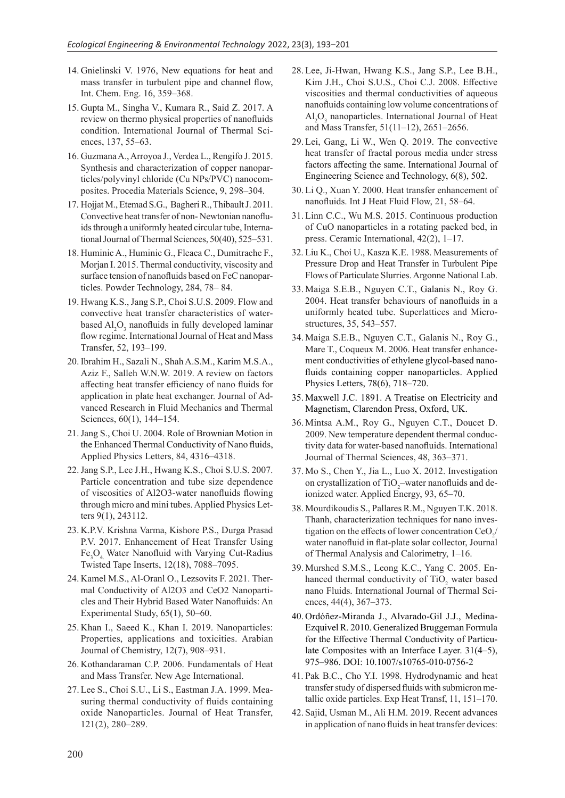- 14. Gnielinski V. 1976, New equations for heat and mass transfer in turbulent pipe and channel flow, Int. Chem. Eng. 16, 359–368.
- 15. Gupta M., Singha V., Kumara R., Said Z. 2017. A review on thermo physical properties of nanofluids condition. International Journal of Thermal Sciences, 137, 55–63.
- 16. Guzmana A., Arroyoa J., Verdea L., Rengifo J. 2015. Synthesis and characterization of copper nanoparticles/polyvinyl chloride (Cu NPs/PVC) nanocomposites. Procedia Materials Science, 9, 298–304.
- 17. Hojjat M., Etemad S.G., Bagheri R., Thibault J. 2011. Convective heat transfer of non- Newtonian nanofluids through a uniformly heated circular tube, International Journal of Thermal Sciences, 50(40), 525–531.
- 18. Huminic A., Huminic G., Fleaca C., Dumitrache F., Morjan I. 2015. Thermal conductivity, viscosity and surface tension of nanofluids based on FeC nanoparticles. Powder Technology, 284, 78– 84.
- 19. Hwang K.S., Jang S.P., Choi S.U.S. 2009. Flow and convective heat transfer characteristics of waterbased  $\text{Al}_2\text{O}_3$  nanofluids in fully developed laminar flow regime. International Journal of Heat and Mass Transfer, 52, 193–199.
- 20. Ibrahim H., Sazali N., Shah A.S.M., Karim M.S.A., Aziz F., Salleh W.N.W. 2019. A review on factors affecting heat transfer efficiency of nano fluids for application in plate heat exchanger. Journal of Advanced Research in Fluid Mechanics and Thermal Sciences, 60(1), 144–154.
- 21.Jang S., Choi U. 2004. Role of Brownian Motion in the Enhanced Thermal Conductivity of Nano fluids, Applied Physics Letters, 84, 4316–4318.
- 22.Jang S.P., Lee J.H., Hwang K.S., Choi S.U.S. 2007. Particle concentration and tube size dependence of viscosities of Al2O3-water nanofluids flowing through micro and mini tubes. Applied Physics Letters 9(1), 243112.
- 23. K.P.V. Krishna Varma, Kishore P.S., Durga Prasad P.V. 2017. Enhancement of Heat Transfer Using Fe<sub>3</sub>O<sub>4</sub> Water Nanofluid with Varying Cut-Radius Twisted Tape Inserts, 12(18), 7088–7095.
- 24. Kamel M.S., Al-Oranl O., Lezsovits F. 2021. Thermal Conductivity of Al2O3 and CeO2 Nanoparticles and Their Hybrid Based Water Nanofluids: An Experimental Study, 65(1), 50–60.
- 25. Khan I., Saeed K., Khan I. 2019. Nanoparticles: Properties, applications and toxicities. Arabian Journal of Chemistry, 12(7), 908–931.
- 26. Kothandaraman C.P. 2006. Fundamentals of Heat and Mass Transfer. New Age International.
- 27.Lee S., Choi S.U., Li S., Eastman J.A. 1999. Measuring thermal conductivity of fluids containing oxide Nanoparticles. Journal of Heat Transfer, 121(2), 280–289.
- 28. Lee, Ji-Hwan, Hwang K.S., Jang S.P., Lee B.H., Kim J.H., Choi S.U.S., Choi C.J. 2008. Effective viscosities and thermal conductivities of aqueous nanofluids containing low volume concentrations of  $Al_2O_3$  nanoparticles. International Journal of Heat and Mass Transfer, 51(11–12), 2651–2656.
- 29. Lei, Gang, Li W., Wen Q. 2019. The convective heat transfer of fractal porous media under stress factors affecting the same. International Journal of Engineering Science and Technology, 6(8), 502.
- 30. Li Q., Xuan Y. 2000. Heat transfer enhancement of nanofluids. Int J Heat Fluid Flow, 21, 58–64.
- 31. Linn C.C., Wu M.S. 2015. Continuous production of CuO nanoparticles in a rotating packed bed, in press. Ceramic International, 42(2), 1–17.
- 32. Liu K., Choi U., Kasza K.E. 1988. Measurements of Pressure Drop and Heat Transfer in Turbulent Pipe Flows of Particulate Slurries. Argonne National Lab.
- 33. Maiga S.E.B., Nguyen C.T., Galanis N., Roy G. 2004. Heat transfer behaviours of nanofluids in a uniformly heated tube. Superlattices and Microstructures, 35, 543–557.
- 34. Maiga S.E.B., Nguyen C.T., Galanis N., Roy G., Mare T., Coqueux M. 2006. Heat transfer enhancement conductivities of ethylene glycol-based nanofluids containing copper nanoparticles. Applied Physics Letters, 78(6), 718–720.
- 35. Maxwell J.C. 1891. A Treatise on Electricity and Magnetism, Clarendon Press, Oxford, UK.
- 36. Mintsa A.M., Roy G., Nguyen C.T., Doucet D. 2009. New temperature dependent thermal conductivity data for water-based nanofluids. International Journal of Thermal Sciences, 48, 363–371.
- 37. Mo S., Chen Y., Jia L., Luo X. 2012. Investigation on crystallization of TiO<sub>2</sub>-water nanofluids and deionized water. Applied Energy, 93, 65–70.
- 38. Mourdikoudis S., Pallares R.M., Nguyen T.K. 2018. Thanh, characterization techniques for nano investigation on the effects of lower concentration CeO<sub>2</sub>/ water nanofluid in flat-plate solar collector, Journal of Thermal Analysis and Calorimetry, 1–16.
- 39. Murshed S.M.S., Leong K.C., Yang C. 2005. Enhanced thermal conductivity of  $TiO<sub>2</sub>$  water based nano Fluids. International Journal of Thermal Sciences, 44(4), 367–373.
- 40. Ordóñez-Miranda J., Alvarado-Gil J.J., Medina-Ezquivel R. 2010. Generalized Bruggeman Formula for the Effective Thermal Conductivity of Particulate Composites with an Interface Layer. 31(4–5), 975–986. DOI: 10.1007/s10765-010-0756-2
- 41. Pak B.C., Cho Y.I. 1998. Hydrodynamic and heat transfer study of dispersed fluids with submicron metallic oxide particles. Exp Heat Transf, 11, 151–170.
- 42. Sajid, Usman M., Ali H.M. 2019. Recent advances in application of nano fluids in heat transfer devices: